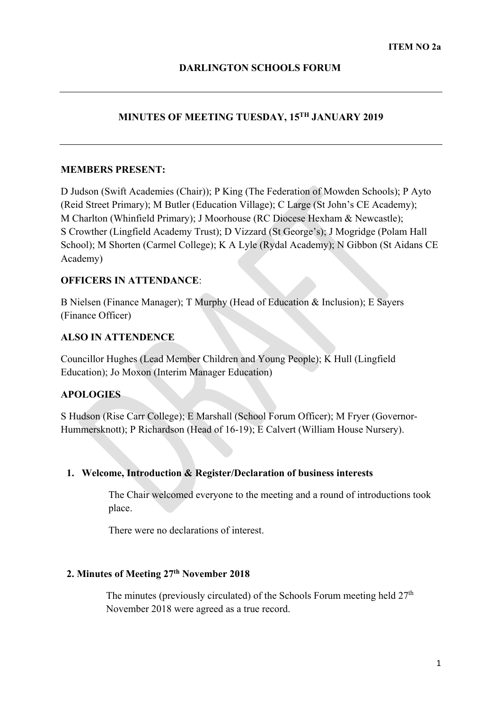# **MINUTES OF MEETING TUESDAY, 15TH JANUARY 2019**

### **MEMBERS PRESENT:**

D Judson (Swift Academies (Chair)); P King (The Federation of Mowden Schools); P Ayto (Reid Street Primary); M Butler (Education Village); C Large (St John's CE Academy); M Charlton (Whinfield Primary); J Moorhouse (RC Diocese Hexham & Newcastle); S Crowther (Lingfield Academy Trust); D Vizzard (St George's); J Mogridge (Polam Hall School); M Shorten (Carmel College); K A Lyle (Rydal Academy); N Gibbon (St Aidans CE Academy)

# **OFFICERS IN ATTENDANCE**:

B Nielsen (Finance Manager); T Murphy (Head of Education & Inclusion); E Sayers (Finance Officer)

# **ALSO IN ATTENDENCE**

Councillor Hughes (Lead Member Children and Young People); K Hull (Lingfield Education); Jo Moxon (Interim Manager Education)

# **APOLOGIES**

S Hudson (Rise Carr College); E Marshall (School Forum Officer); M Fryer (Governor-Hummersknott); P Richardson (Head of 16-19); E Calvert (William House Nursery).

# **1. Welcome, Introduction & Register/Declaration of business interests**

The Chair welcomed everyone to the meeting and a round of introductions took place.

There were no declarations of interest.

# **2. Minutes of Meeting 27th November 2018**

The minutes (previously circulated) of the Schools Forum meeting held  $27<sup>th</sup>$ November 2018 were agreed as a true record.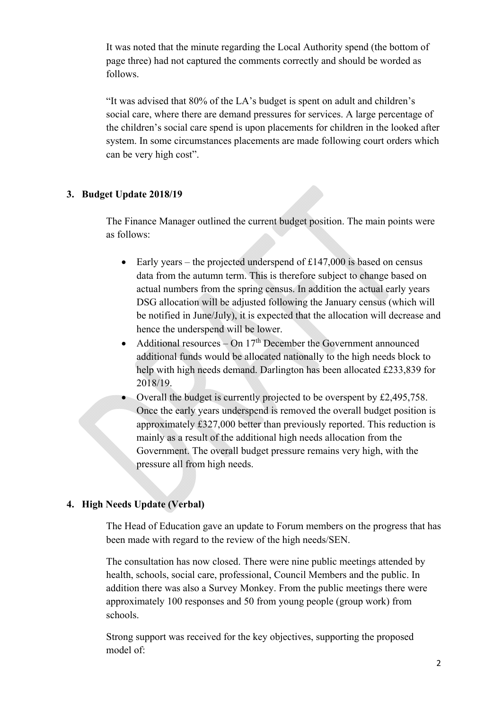It was noted that the minute regarding the Local Authority spend (the bottom of page three) had not captured the comments correctly and should be worded as follows.

"It was advised that 80% of the LA's budget is spent on adult and children's social care, where there are demand pressures for services. A large percentage of the children's social care spend is upon placements for children in the looked after system. In some circumstances placements are made following court orders which can be very high cost".

# **3. Budget Update 2018/19**

The Finance Manager outlined the current budget position. The main points were as follows:

- Early years the projected underspend of  $£147,000$  is based on census data from the autumn term. This is therefore subject to change based on actual numbers from the spring census. In addition the actual early years DSG allocation will be adjusted following the January census (which will be notified in June/July), it is expected that the allocation will decrease and hence the underspend will be lower.
- Additional resources On  $17<sup>th</sup>$  December the Government announced additional funds would be allocated nationally to the high needs block to help with high needs demand. Darlington has been allocated £233,839 for 2018/19.
- Overall the budget is currently projected to be overspent by £2,495,758. Once the early years underspend is removed the overall budget position is approximately £327,000 better than previously reported. This reduction is mainly as a result of the additional high needs allocation from the Government. The overall budget pressure remains very high, with the pressure all from high needs.

# **4. High Needs Update (Verbal)**

The Head of Education gave an update to Forum members on the progress that has been made with regard to the review of the high needs/SEN.

The consultation has now closed. There were nine public meetings attended by health, schools, social care, professional, Council Members and the public. In addition there was also a Survey Monkey. From the public meetings there were approximately 100 responses and 50 from young people (group work) from schools.

Strong support was received for the key objectives, supporting the proposed model of: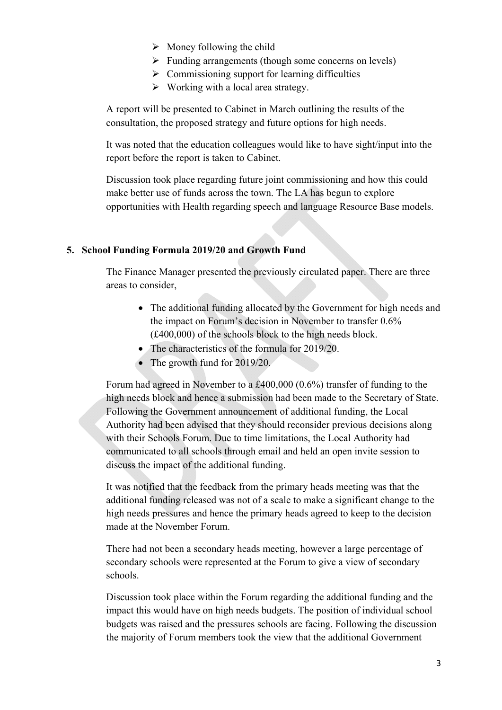- $\triangleright$  Money following the child
- $\triangleright$  Funding arrangements (though some concerns on levels)
- $\triangleright$  Commissioning support for learning difficulties
- $\triangleright$  Working with a local area strategy.

A report will be presented to Cabinet in March outlining the results of the consultation, the proposed strategy and future options for high needs.

It was noted that the education colleagues would like to have sight/input into the report before the report is taken to Cabinet.

Discussion took place regarding future joint commissioning and how this could make better use of funds across the town. The LA has begun to explore opportunities with Health regarding speech and language Resource Base models.

#### **5. School Funding Formula 2019/20 and Growth Fund**

The Finance Manager presented the previously circulated paper. There are three areas to consider,

- The additional funding allocated by the Government for high needs and the impact on Forum's decision in November to transfer 0.6% (£400,000) of the schools block to the high needs block.
- The characteristics of the formula for 2019/20.
- The growth fund for 2019/20.

Forum had agreed in November to a £400,000 (0.6%) transfer of funding to the high needs block and hence a submission had been made to the Secretary of State. Following the Government announcement of additional funding, the Local Authority had been advised that they should reconsider previous decisions along with their Schools Forum. Due to time limitations, the Local Authority had communicated to all schools through email and held an open invite session to discuss the impact of the additional funding.

 It was notified that the feedback from the primary heads meeting was that the additional funding released was not of a scale to make a significant change to the high needs pressures and hence the primary heads agreed to keep to the decision made at the November Forum.

There had not been a secondary heads meeting, however a large percentage of secondary schools were represented at the Forum to give a view of secondary schools.

Discussion took place within the Forum regarding the additional funding and the impact this would have on high needs budgets. The position of individual school budgets was raised and the pressures schools are facing. Following the discussion the majority of Forum members took the view that the additional Government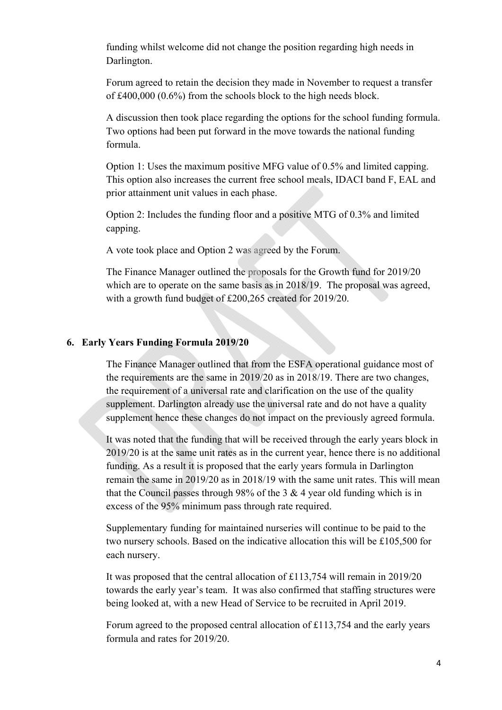funding whilst welcome did not change the position regarding high needs in Darlington.

Forum agreed to retain the decision they made in November to request a transfer of £400,000 (0.6%) from the schools block to the high needs block.

A discussion then took place regarding the options for the school funding formula. Two options had been put forward in the move towards the national funding formula.

Option 1: Uses the maximum positive MFG value of 0.5% and limited capping. This option also increases the current free school meals, IDACI band F, EAL and prior attainment unit values in each phase.

Option 2: Includes the funding floor and a positive MTG of 0.3% and limited capping.

A vote took place and Option 2 was agreed by the Forum.

The Finance Manager outlined the proposals for the Growth fund for 2019/20 which are to operate on the same basis as in 2018/19. The proposal was agreed, with a growth fund budget of £200,265 created for 2019/20.

# **6. Early Years Funding Formula 2019/20**

The Finance Manager outlined that from the ESFA operational guidance most of the requirements are the same in 2019/20 as in 2018/19. There are two changes, the requirement of a universal rate and clarification on the use of the quality supplement. Darlington already use the universal rate and do not have a quality supplement hence these changes do not impact on the previously agreed formula.

funding. As a result it is proposed that the early years formula in Darlington It was noted that the funding that will be received through the early years block in 2019/20 is at the same unit rates as in the current year, hence there is no additional remain the same in 2019/20 as in 2018/19 with the same unit rates. This will mean that the Council passes through 98% of the 3  $\&$  4 year old funding which is in excess of the 95% minimum pass through rate required.

Supplementary funding for maintained nurseries will continue to be paid to the two nursery schools. Based on the indicative allocation this will be £105,500 for each nursery.

It was proposed that the central allocation of £113,754 will remain in 2019/20 towards the early year's team. It was also confirmed that staffing structures were being looked at, with a new Head of Service to be recruited in April 2019.

Forum agreed to the proposed central allocation of £113,754 and the early years formula and rates for 2019/20.